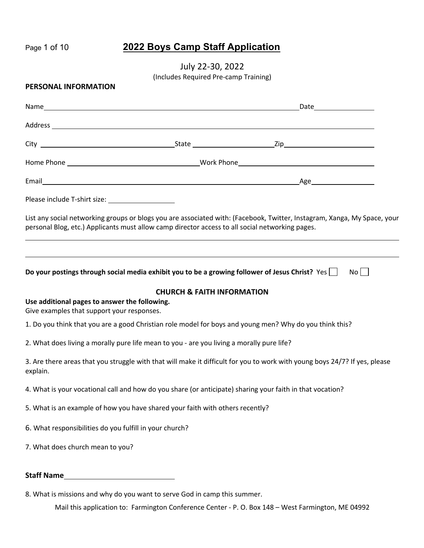# Page 1 of 10 **2022 Boys Camp Staff Application**

July 22-30, 2022

(Includes Required Pre-camp Training)

#### **PERSONAL INFORMATION**

|  | Date ________________ |
|--|-----------------------|
|  |                       |
|  |                       |
|  |                       |
|  |                       |
|  |                       |

List any social networking groups or blogs you are associated with: (Facebook, Twitter, Instagram, Xanga, My Space, your personal Blog, etc.) Applicants must allow camp director access to all social networking pages.

**Do your postings through social media exhibit you to be a growing follower of Jesus Christ?** Yes No No

#### **CHURCH & FAITH INFORMATION**

### **Use additional pages to answer the following.**

Give examples that support your responses.

1. Do you think that you are a good Christian role model for boys and young men? Why do you think this?

2. What does living a morally pure life mean to you - are you living a morally pure life?

3. Are there areas that you struggle with that will make it difficult for you to work with young boys 24/7? If yes, please explain.

4. What is your vocational call and how do you share (or anticipate) sharing your faith in that vocation?

- 5. What is an example of how you have shared your faith with others recently?
- 6. What responsibilities do you fulfill in your church?
- 7. What does church mean to you?

### **Staff Name**

8. What is missions and why do you want to serve God in camp this summer.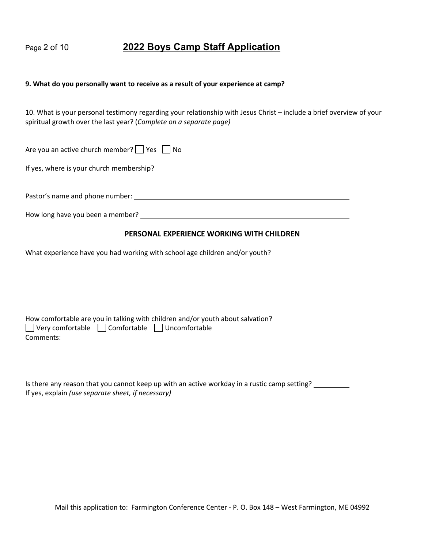### Page 2 of 10 **2022 Boys Camp Staff Application**

#### **9. What do you personally want to receive as a result of your experience at camp?**

10. What is your personal testimony regarding your relationship with Jesus Christ – include a brief overview of your spiritual growth over the last year? (*Complete on a separate page)*

Are you an active church member?  $\Box$  Yes  $\Box$  No

If yes, where is your church membership?

Pastor's name and phone number:

How long have you been a member?

#### **PERSONAL EXPERIENCE WORKING WITH CHILDREN**

What experience have you had working with school age children and/or youth?

|                                                                 | How comfortable are you in talking with children and/or youth about salvation? |  |
|-----------------------------------------------------------------|--------------------------------------------------------------------------------|--|
| $\Box$ Very comfortable $\Box$ Comfortable $\Box$ Uncomfortable |                                                                                |  |
| Comments:                                                       |                                                                                |  |

| Is there any reason that you cannot keep up with an active workday in a rustic camp setting? |  |
|----------------------------------------------------------------------------------------------|--|
| If yes, explain (use separate sheet, if necessary)                                           |  |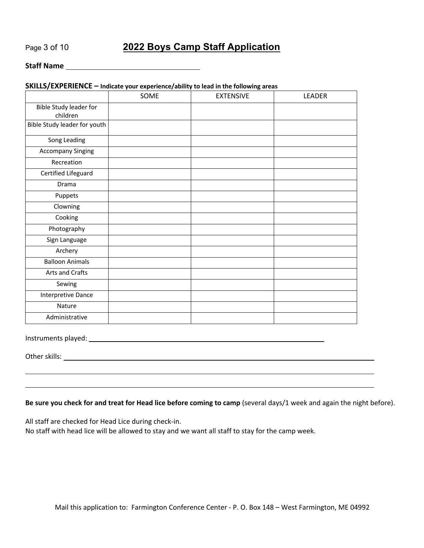## Page 3 of 10 **2022 Boys Camp Staff Application**

### **Staff Name**

#### **SKILLS/EXPERIENCE – Indicate your experience/ability to lead in the following areas**

|                                    | SOME | <b>EXTENSIVE</b> | LEADER |
|------------------------------------|------|------------------|--------|
| Bible Study leader for<br>children |      |                  |        |
| Bible Study leader for youth       |      |                  |        |
| Song Leading                       |      |                  |        |
| <b>Accompany Singing</b>           |      |                  |        |
| Recreation                         |      |                  |        |
| Certified Lifeguard                |      |                  |        |
| Drama                              |      |                  |        |
| Puppets                            |      |                  |        |
| Clowning                           |      |                  |        |
| Cooking                            |      |                  |        |
| Photography                        |      |                  |        |
| Sign Language                      |      |                  |        |
| Archery                            |      |                  |        |
| <b>Balloon Animals</b>             |      |                  |        |
| Arts and Crafts                    |      |                  |        |
| Sewing                             |      |                  |        |
| Interpretive Dance                 |      |                  |        |
| Nature                             |      |                  |        |
| Administrative                     |      |                  |        |

Instruments played:

Other skills: <u>with the second contract of the second contract of the second contract of the second contract of the second contract of the second contract of the second contract of the second contract of the second contrac</u>

#### **Be sure you check for and treat for Head lice before coming to camp** (several days/1 week and again the night before).

All staff are checked for Head Lice during check-in.

No staff with head lice will be allowed to stay and we want all staff to stay for the camp week.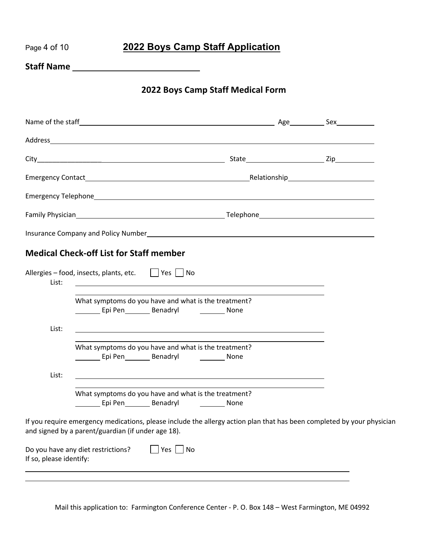| 2022 Boys Camp Staff Application |
|----------------------------------|
|----------------------------------|

**Staff Name** 

**Page 4 of 10** 

**2022 Boys Camp Staff Medical Form**

|                         | <b>Medical Check-off List for Staff member</b>                                                                                                                               |  |  |
|-------------------------|------------------------------------------------------------------------------------------------------------------------------------------------------------------------------|--|--|
| List:                   | Allergies - food, insects, plants, etc.   Yes   No                                                                                                                           |  |  |
|                         | What symptoms do you have and what is the treatment?<br>Epi Pen Benadryl None                                                                                                |  |  |
| List:                   | and the control of the control of the control of the control of the control of the control of the control of the                                                             |  |  |
|                         | What symptoms do you have and what is the treatment?<br>Epi Pen__________ Benadryl _______________ None                                                                      |  |  |
| List:                   |                                                                                                                                                                              |  |  |
|                         | What symptoms do you have and what is the treatment?                                                                                                                         |  |  |
|                         | If you require emergency medications, please include the allergy action plan that has been completed by your physician<br>and signed by a parent/guardian (if under age 18). |  |  |
| If so, please identify: | Do you have any diet restrictions?<br>Yes $ $ No                                                                                                                             |  |  |
|                         |                                                                                                                                                                              |  |  |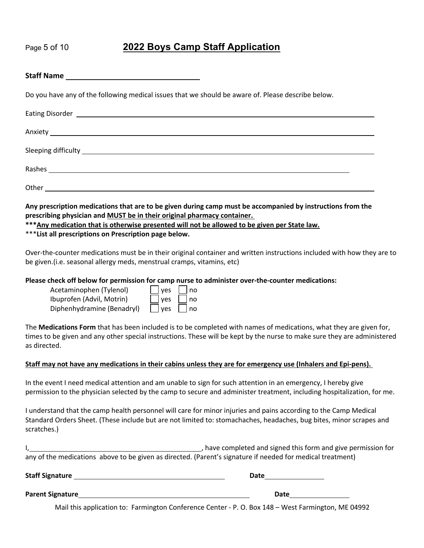# Page 5 of 10 **2022 Boys Camp Staff Application**

| Do you have any of the following medical issues that we should be aware of. Please describe below.                                                                                                                                  |
|-------------------------------------------------------------------------------------------------------------------------------------------------------------------------------------------------------------------------------------|
| Eating Disorder <u>Communications</u> and the contract of the contract of the contract of the contract of the contract of the contract of the contract of the contract of the contract of the contract of the contract of the contr |
|                                                                                                                                                                                                                                     |
|                                                                                                                                                                                                                                     |
|                                                                                                                                                                                                                                     |
|                                                                                                                                                                                                                                     |
| Any prescription medications that are to be given during camp must be accompanied by instructions from the<br>responsibling interactions and BALICT ha in their original phorosopy containor                                        |

**prescribing physician and MUST be in their original pharmacy container.** 

**\*\*\*Any medication that is otherwise presented will not be allowed to be given per State law.**

\*\*\***List all prescriptions on Prescription page below.**

Over-the-counter medications must be in their original container and written instructions included with how they are to be given.(i.e. seasonal allergy meds, menstrual cramps, vitamins, etc)

**Please check off below for permission for camp nurse to administer over-the-counter medications:**

| Acetaminophen (Tylenol)    | $\Box$ yes $\Box$ no |  |
|----------------------------|----------------------|--|
| Ibuprofen (Advil, Motrin)  | $\Box$ yes $\Box$ no |  |
| Diphenhydramine (Benadryl) | $\Box$ yes $\Box$ no |  |

The **Medications Form** that has been included is to be completed with names of medications, what they are given for, times to be given and any other special instructions. These will be kept by the nurse to make sure they are administered as directed.

### **Staff may not have any medications in their cabins unless they are for emergency use (Inhalers and Epi-pens).**

In the event I need medical attention and am unable to sign for such attention in an emergency, I hereby give permission to the physician selected by the camp to secure and administer treatment, including hospitalization, for me.

I understand that the camp health personnel will care for minor injuries and pains according to the Camp Medical Standard Orders Sheet. (These include but are not limited to: stomachaches, headaches, bug bites, minor scrapes and scratches.)

|                                                                                                            | have completed and signed this form and give permission for |  |
|------------------------------------------------------------------------------------------------------------|-------------------------------------------------------------|--|
| any of the medications above to be given as directed. (Parent's signature if needed for medical treatment) |                                                             |  |

**Staff Signature Community Community Community Community Community Community Community Community Community Community** 

**Parent Signature Date**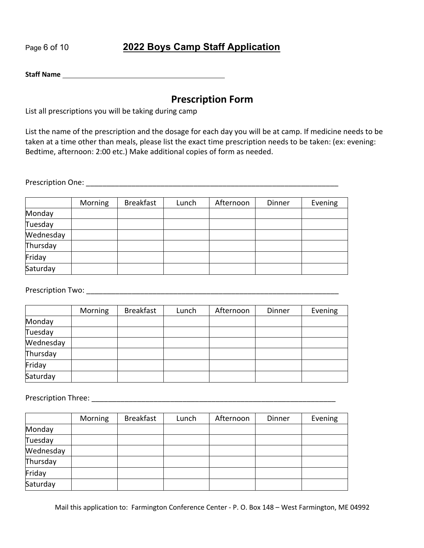# Page 6 of 10 **2022 Boys Camp Staff Application**

**Staff Name**

## **Prescription Form**

List all prescriptions you will be taking during camp

List the name of the prescription and the dosage for each day you will be at camp. If medicine needs to be taken at a time other than meals, please list the exact time prescription needs to be taken: (ex: evening: Bedtime, afternoon: 2:00 etc.) Make additional copies of form as needed.

Prescription One: \_\_\_\_\_\_\_\_\_\_\_\_\_\_\_\_\_\_\_\_\_\_\_\_\_\_\_\_\_\_\_\_\_\_\_\_\_\_\_\_\_\_\_\_\_\_\_\_\_\_\_\_\_\_\_\_\_\_\_\_\_

|           | Morning | <b>Breakfast</b> | Lunch | Afternoon | Dinner | Evening |
|-----------|---------|------------------|-------|-----------|--------|---------|
| Monday    |         |                  |       |           |        |         |
| Tuesday   |         |                  |       |           |        |         |
| Wednesday |         |                  |       |           |        |         |
| Thursday  |         |                  |       |           |        |         |
| Friday    |         |                  |       |           |        |         |
| Saturday  |         |                  |       |           |        |         |

Prescription Two: \_\_\_\_\_\_\_\_\_\_\_\_\_\_\_\_\_\_\_\_\_\_\_\_\_\_\_\_\_\_\_\_\_\_\_\_\_\_\_\_\_\_\_\_\_\_\_\_\_\_\_\_\_\_\_\_\_\_\_\_\_

|           | Morning | <b>Breakfast</b> | Lunch | Afternoon | Dinner | Evening |
|-----------|---------|------------------|-------|-----------|--------|---------|
| Monday    |         |                  |       |           |        |         |
| Tuesday   |         |                  |       |           |        |         |
| Wednesday |         |                  |       |           |        |         |
| Thursday  |         |                  |       |           |        |         |
| Friday    |         |                  |       |           |        |         |
| Saturday  |         |                  |       |           |        |         |

Prescription Three: **Example 20** and 20 and 20 and 20 and 20 and 20 and 20 and 20 and 20 and 20 and 20 and 20 and 20 and 20 and 20 and 20 and 20 and 20 and 20 and 20 and 20 and 20 and 20 and 20 and 20 and 20 and 20 and 20

|           | Morning | <b>Breakfast</b> | Lunch | Afternoon | Dinner | Evening |
|-----------|---------|------------------|-------|-----------|--------|---------|
| Monday    |         |                  |       |           |        |         |
| Tuesday   |         |                  |       |           |        |         |
| Wednesday |         |                  |       |           |        |         |
| Thursday  |         |                  |       |           |        |         |
| Friday    |         |                  |       |           |        |         |
| Saturday  |         |                  |       |           |        |         |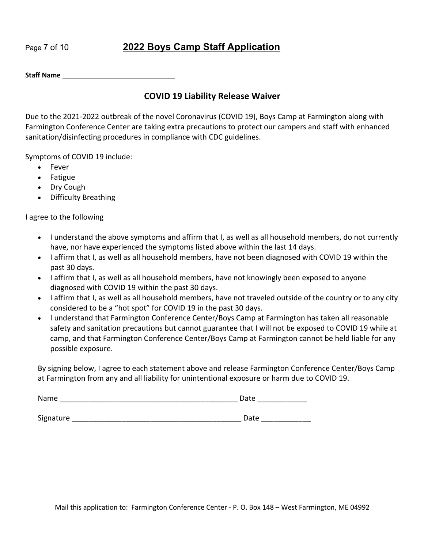# Page 7 of 10 **2022 Boys Camp Staff Application**

**Staff Name**

### **COVID 19 Liability Release Waiver**

Due to the 2021-2022 outbreak of the novel Coronavirus (COVID 19), Boys Camp at Farmington along with Farmington Conference Center are taking extra precautions to protect our campers and staff with enhanced sanitation/disinfecting procedures in compliance with CDC guidelines.

Symptoms of COVID 19 include:

- Fever
- Fatigue
- Dry Cough
- Difficulty Breathing

I agree to the following

- I understand the above symptoms and affirm that I, as well as all household members, do not currently have, nor have experienced the symptoms listed above within the last 14 days.
- I affirm that I, as well as all household members, have not been diagnosed with COVID 19 within the past 30 days.
- I affirm that I, as well as all household members, have not knowingly been exposed to anyone diagnosed with COVID 19 within the past 30 days.
- I affirm that I, as well as all household members, have not traveled outside of the country or to any city considered to be a "hot spot" for COVID 19 in the past 30 days.
- I understand that Farmington Conference Center/Boys Camp at Farmington has taken all reasonable safety and sanitation precautions but cannot guarantee that I will not be exposed to COVID 19 while at camp, and that Farmington Conference Center/Boys Camp at Farmington cannot be held liable for any possible exposure.

By signing below, I agree to each statement above and release Farmington Conference Center/Boys Camp at Farmington from any and all liability for unintentional exposure or harm due to COVID 19.

| Name      | Date |
|-----------|------|
|           |      |
| Signature | Date |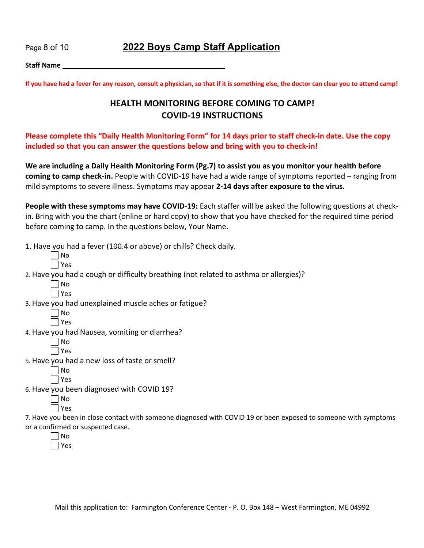Page 8 of 10 **2022 Boys Camp Staff Application**

**Staff Name**

**If you have had a fever for any reason, consult a physician, so that if it is something else, the doctor can clear you to attend camp!** 

### **HEALTH MONITORING BEFORE COMING TO CAMP! COVID-19 INSTRUCTIONS**

**Please complete this "Daily Health Monitoring Form" for 14 days prior to staff check-in date. Use the copy included so that you can answer the questions below and bring with you to check-in!** 

**We are including a Daily Health Monitoring Form (Pg.7) to assist you as you monitor your health before coming to camp check-in.** People with COVID-19 have had a wide range of symptoms reported – ranging from mild symptoms to severe illness. Symptoms may appear **2-14 days after exposure to the virus.** 

**People with these symptoms may have COVID-19:** Each staffer will be asked the following questions at checkin. Bring with you the chart (online or hard copy) to show that you have checked for the required time period before coming to camp. In the questions below, Your Name.

1. Have you had a fever (100.4 or above) or chills? Check daily.

| × |
|---|

2. Have you had a cough or difficulty breathing (not related to asthma or allergies)?

3. Have you had unexplained muscle aches or fatigue?

4. Have you had Nausea, vomiting or diarrhea?

5. Have you had a new loss of taste or smell?

6. Have you been diagnosed with COVID 19?

| Λ<br>n |
|--------|
| ∕<br>Ξ |
|        |

7. Have you been in close contact with someone diagnosed with COVID 19 or been exposed to someone with symptoms or a confirmed or suspected case.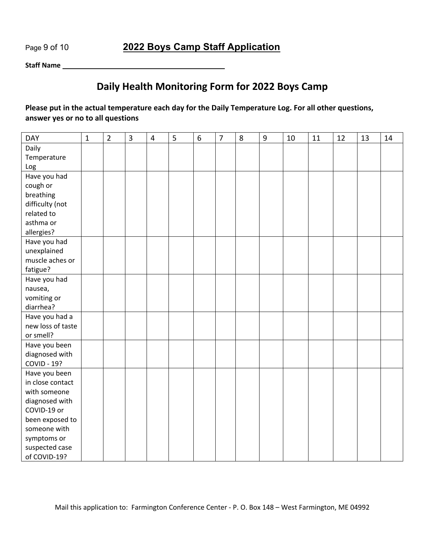Page 9 of 10 **2022 Boys Camp Staff Application**

**Staff Name**

# **Daily Health Monitoring Form for 2022 Boys Camp**

### **Please put in the actual temperature each day for the Daily Temperature Log. For all other questions, answer yes or no to all questions**

| <b>DAY</b>         | $\mathbf{1}$ | $\overline{2}$ | 3 | 4 | 5 | $\boldsymbol{6}$ | $\overline{7}$ | 8 | $9\,$ | 10 | 11 | 12 | 13 | 14 |
|--------------------|--------------|----------------|---|---|---|------------------|----------------|---|-------|----|----|----|----|----|
| Daily              |              |                |   |   |   |                  |                |   |       |    |    |    |    |    |
| Temperature        |              |                |   |   |   |                  |                |   |       |    |    |    |    |    |
| Log                |              |                |   |   |   |                  |                |   |       |    |    |    |    |    |
| Have you had       |              |                |   |   |   |                  |                |   |       |    |    |    |    |    |
| cough or           |              |                |   |   |   |                  |                |   |       |    |    |    |    |    |
| breathing          |              |                |   |   |   |                  |                |   |       |    |    |    |    |    |
| difficulty (not    |              |                |   |   |   |                  |                |   |       |    |    |    |    |    |
| related to         |              |                |   |   |   |                  |                |   |       |    |    |    |    |    |
| asthma or          |              |                |   |   |   |                  |                |   |       |    |    |    |    |    |
| allergies?         |              |                |   |   |   |                  |                |   |       |    |    |    |    |    |
| Have you had       |              |                |   |   |   |                  |                |   |       |    |    |    |    |    |
| unexplained        |              |                |   |   |   |                  |                |   |       |    |    |    |    |    |
| muscle aches or    |              |                |   |   |   |                  |                |   |       |    |    |    |    |    |
| fatigue?           |              |                |   |   |   |                  |                |   |       |    |    |    |    |    |
| Have you had       |              |                |   |   |   |                  |                |   |       |    |    |    |    |    |
| nausea,            |              |                |   |   |   |                  |                |   |       |    |    |    |    |    |
| vomiting or        |              |                |   |   |   |                  |                |   |       |    |    |    |    |    |
| diarrhea?          |              |                |   |   |   |                  |                |   |       |    |    |    |    |    |
| Have you had a     |              |                |   |   |   |                  |                |   |       |    |    |    |    |    |
| new loss of taste  |              |                |   |   |   |                  |                |   |       |    |    |    |    |    |
| or smell?          |              |                |   |   |   |                  |                |   |       |    |    |    |    |    |
| Have you been      |              |                |   |   |   |                  |                |   |       |    |    |    |    |    |
| diagnosed with     |              |                |   |   |   |                  |                |   |       |    |    |    |    |    |
| <b>COVID - 19?</b> |              |                |   |   |   |                  |                |   |       |    |    |    |    |    |
| Have you been      |              |                |   |   |   |                  |                |   |       |    |    |    |    |    |
| in close contact   |              |                |   |   |   |                  |                |   |       |    |    |    |    |    |
| with someone       |              |                |   |   |   |                  |                |   |       |    |    |    |    |    |
| diagnosed with     |              |                |   |   |   |                  |                |   |       |    |    |    |    |    |
| COVID-19 or        |              |                |   |   |   |                  |                |   |       |    |    |    |    |    |
| been exposed to    |              |                |   |   |   |                  |                |   |       |    |    |    |    |    |
| someone with       |              |                |   |   |   |                  |                |   |       |    |    |    |    |    |
| symptoms or        |              |                |   |   |   |                  |                |   |       |    |    |    |    |    |
| suspected case     |              |                |   |   |   |                  |                |   |       |    |    |    |    |    |
| of COVID-19?       |              |                |   |   |   |                  |                |   |       |    |    |    |    |    |